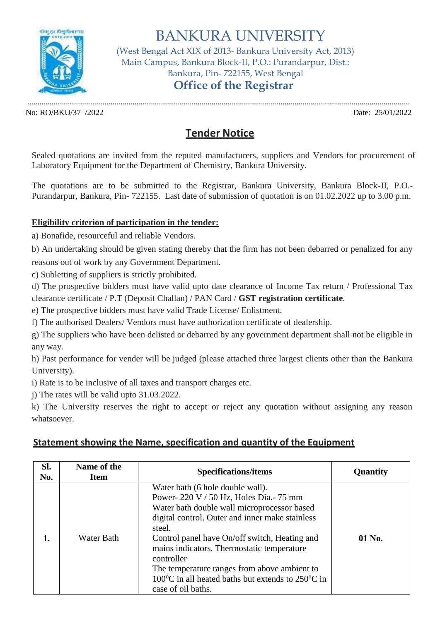

BANKURA UNIVERSITY (West Bengal Act XIX of 2013- Bankura University Act, 2013) Main Campus, Bankura Block-II, P.O.: Purandarpur, Dist.: Bankura, Pin- 722155, West Bengal **Office of the Registrar**

............................................................................................................................................................................................. No: RO/BKU/37 /2022 Date: 25/01/2022

## **Tender Notice**

Sealed quotations are invited from the reputed manufacturers, suppliers and Vendors for procurement of Laboratory Equipment for the Department of Chemistry, Bankura University.

The quotations are to be submitted to the Registrar, Bankura University, Bankura Block-II, P.O.- Purandarpur, Bankura, Pin- 722155. Last date of submission of quotation is on 01.02.2022 up to 3.00 p.m.

## **Eligibility criterion of participation in the tender:**

a) Bonafide, resourceful and reliable Vendors.

b) An undertaking should be given stating thereby that the firm has not been debarred or penalized for any reasons out of work by any Government Department.

c) Subletting of suppliers is strictly prohibited.

d) The prospective bidders must have valid upto date clearance of Income Tax return / Professional Tax clearance certificate / P.T (Deposit Challan) / PAN Card / **GST registration certificate**.

e) The prospective bidders must have valid Trade License/ Enlistment.

f) The authorised Dealers/ Vendors must have authorization certificate of dealership.

g) The suppliers who have been delisted or debarred by any government department shall not be eligible in any way.

h) Past performance for vender will be judged (please attached three largest clients other than the Bankura University).

i) Rate is to be inclusive of all taxes and transport charges etc.

j) The rates will be valid upto 31.03.2022.

k) The University reserves the right to accept or reject any quotation without assigning any reason whatsoever.

## **Statement showing the Name, specification and quantity of the Equipment**

| SI.<br>No. | Name of the<br><b>Item</b> | <b>Specifications/items</b>                                                                                                                                                                                                                                                                                                                                                                                                                        | Quantity |
|------------|----------------------------|----------------------------------------------------------------------------------------------------------------------------------------------------------------------------------------------------------------------------------------------------------------------------------------------------------------------------------------------------------------------------------------------------------------------------------------------------|----------|
| 1.         | <b>Water Bath</b>          | Water bath (6 hole double wall).<br>Power-220 V / 50 Hz, Holes Dia.- 75 mm<br>Water bath double wall microprocessor based<br>digital control. Outer and inner make stainless<br>steel.<br>Control panel have On/off switch, Heating and<br>mains indicators. Thermostatic temperature<br>controller<br>The temperature ranges from above ambient to<br>100 $\degree$ C in all heated baths but extends to 250 $\degree$ C in<br>case of oil baths. | 01 No.   |